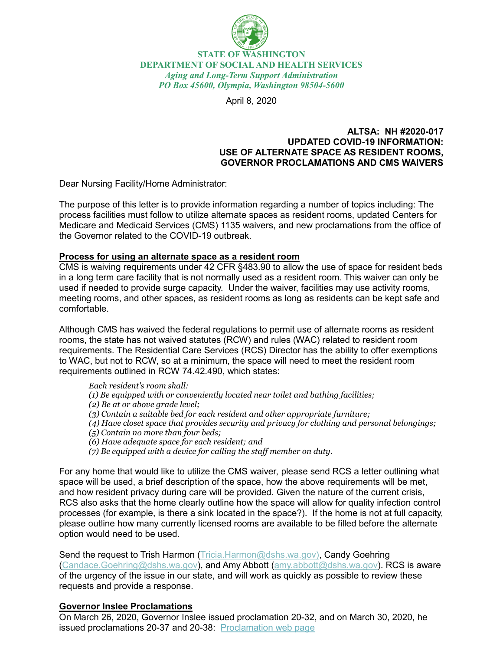

**STATE OF WASHINGTON DEPARTMENT OF SOCIAL AND HEALTH SERVICES** *Aging and Long-Term Support Administration PO Box 45600, Olympia, Washington 98504-5600*

April 8, 2020

#### **ALTSA: NH #2020-017 UPDATED COVID-19 INFORMATION: USE OF ALTERNATE SPACE AS RESIDENT ROOMS, GOVERNOR PROCLAMATIONS AND CMS WAIVERS**

Dear Nursing Facility/Home Administrator:

The purpose of this letter is to provide information regarding a number of topics including: The process facilities must follow to utilize alternate spaces as resident rooms, updated Centers for Medicare and Medicaid Services (CMS) 1135 waivers, and new proclamations from the office of the Governor related to the COVID-19 outbreak.

#### **Process for using an alternate space as a resident room**

CMS is waiving requirements under 42 CFR §483.90 to allow the use of space for resident beds in a long term care facility that is not normally used as a resident room. This waiver can only be used if needed to provide surge capacity. Under the waiver, facilities may use activity rooms, meeting rooms, and other spaces, as resident rooms as long as residents can be kept safe and comfortable.

Although CMS has waived the federal regulations to permit use of alternate rooms as resident rooms, the state has not waived statutes (RCW) and rules (WAC) related to resident room requirements. The Residential Care Services (RCS) Director has the ability to offer exemptions to WAC, but not to RCW, so at a minimum, the space will need to meet the resident room requirements outlined in RCW 74.42.490, which states:

*Each resident's room shall: (1) Be equipped with or conveniently located near toilet and bathing facilities; (2) Be at or above grade level; (3) Contain a suitable bed for each resident and other appropriate furniture; (4) Have closet space that provides security and privacy for clothing and personal belongings; (5) Contain no more than four beds; (6) Have adequate space for each resident; and (7) Be equipped with a device for calling the staff member on duty.*

For any home that would like to utilize the CMS waiver, please send RCS a letter outlining what space will be used, a brief description of the space, how the above requirements will be met, and how resident privacy during care will be provided. Given the nature of the current crisis, RCS also asks that the home clearly outline how the space will allow for quality infection control processes (for example, is there a sink located in the space?). If the home is not at full capacity, please outline how many currently licensed rooms are available to be filled before the alternate option would need to be used.

Send the request to Trish Harmon [\(Tricia.Harmon@dshs.wa.gov\)](mailto:Tricia.Harmon@dshs.wa.gov), Candy Goehring [\(Candace.Goehring@dshs.wa.gov\)](mailto:Candace.Goehring@dshs.wa.gov), and Amy Abbott [\(amy.abbott@dshs.wa.gov\)](mailto:amy.abbott@dshs.wa.gov). RCS is aware of the urgency of the issue in our state, and will work as quickly as possible to review these requests and provide a response.

## **Governor Inslee Proclamations**

On March 26, 2020, Governor Inslee issued proclamation 20-32, and on March 30, 2020, he issued proclamations 20-37 and 20-38: [Proclamation web page](https://www.governor.wa.gov/office-governor/official-actions/proclamations)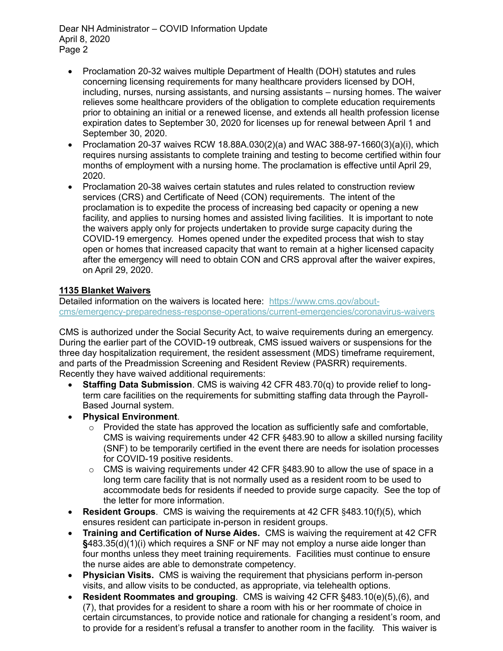Dear NH Administrator – COVID Information Update April 8, 2020 Page 2

- Proclamation 20-32 waives multiple Department of Health (DOH) statutes and rules concerning licensing requirements for many healthcare providers licensed by DOH, including, nurses, nursing assistants, and nursing assistants – nursing homes. The waiver relieves some healthcare providers of the obligation to complete education requirements prior to obtaining an initial or a renewed license, and extends all health profession license expiration dates to September 30, 2020 for licenses up for renewal between April 1 and September 30, 2020.
- Proclamation 20-37 waives RCW 18.88A.030(2)(a) and WAC 388-97-1660(3)(a)(i), which requires nursing assistants to complete training and testing to become certified within four months of employment with a nursing home. The proclamation is effective until April 29, 2020.
- Proclamation 20-38 waives certain statutes and rules related to construction review services (CRS) and Certificate of Need (CON) requirements. The intent of the proclamation is to expedite the process of increasing bed capacity or opening a new facility, and applies to nursing homes and assisted living facilities. It is important to note the waivers apply only for projects undertaken to provide surge capacity during the COVID-19 emergency. Homes opened under the expedited process that wish to stay open or homes that increased capacity that want to remain at a higher licensed capacity after the emergency will need to obtain CON and CRS approval after the waiver expires, on April 29, 2020.

# **1135 Blanket Waivers**

Detailed information on the waivers is located here: [https://www.cms.gov/about](https://www.cms.gov/about-cms/emergency-preparedness-response-operations/current-emergencies/coronavirus-waivers)[cms/emergency-preparedness-response-operations/current-emergencies/coronavirus-waivers](https://www.cms.gov/about-cms/emergency-preparedness-response-operations/current-emergencies/coronavirus-waivers)

CMS is authorized under the Social Security Act, to waive requirements during an emergency. During the earlier part of the COVID-19 outbreak, CMS issued waivers or suspensions for the three day hospitalization requirement, the resident assessment (MDS) timeframe requirement, and parts of the Preadmission Screening and Resident Review (PASRR) requirements. Recently they have waived additional requirements:

- **Staffing Data Submission**. CMS is waiving 42 CFR 483.70(q) to provide relief to longterm care facilities on the requirements for submitting staffing data through the Payroll-Based Journal system.
- **Physical Environment**.
	- $\circ$  Provided the state has approved the location as sufficiently safe and comfortable, CMS is waiving requirements under 42 CFR §483.90 to allow a skilled nursing facility (SNF) to be temporarily certified in the event there are needs for isolation processes for COVID-19 positive residents.
	- o CMS is waiving requirements under 42 CFR §483.90 to allow the use of space in a long term care facility that is not normally used as a resident room to be used to accommodate beds for residents if needed to provide surge capacity. See the top of the letter for more information.
- **Resident Groups**. CMS is waiving the requirements at 42 CFR §483.10(f)(5), which ensures resident can participate in-person in resident groups.
- **Training and Certification of Nurse Aides.** CMS is waiving the requirement at 42 CFR **§**483.35(d)(1)(i) which requires a SNF or NF may not employ a nurse aide longer than four months unless they meet training requirements. Facilities must continue to ensure the nurse aides are able to demonstrate competency.
- **Physician Visits.** CMS is waiving the requirement that physicians perform in-person visits, and allow visits to be conducted, as appropriate, via telehealth options.
- **Resident Roommates and grouping**. CMS is waiving 42 CFR §483.10(e)(5),(6), and (7), that provides for a resident to share a room with his or her roommate of choice in certain circumstances, to provide notice and rationale for changing a resident's room, and to provide for a resident's refusal a transfer to another room in the facility. This waiver is